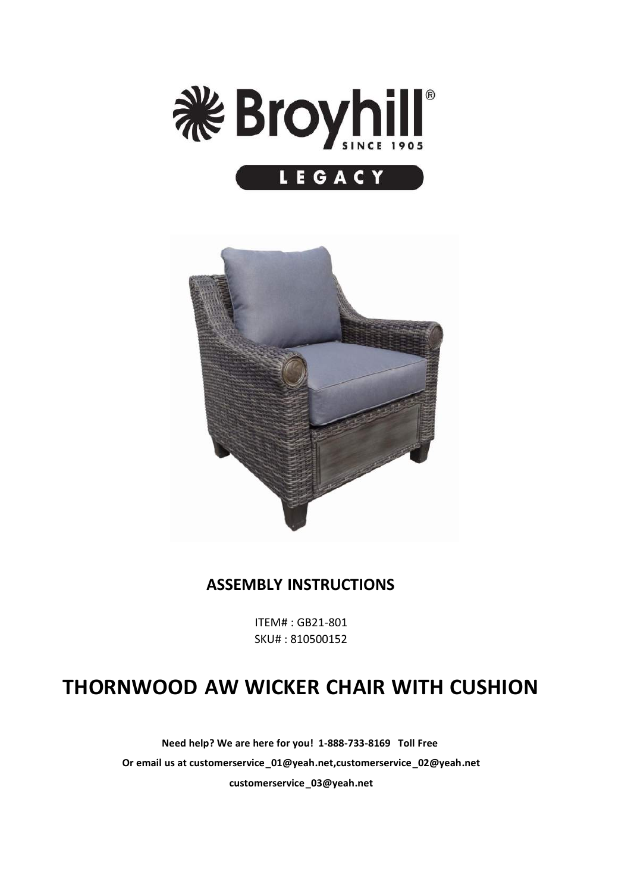



#### **ASSEMBLY INSTRUCTIONS**

ITEM# : GB21-801 SKU# : 810500152

## **THORNWOOD AW WICKER CHAIR WITH CUSHION**

**Need help? We are here for you! 1-888-733-8169 Toll Free Or email us at customerservice\_01@yeah.net,customerservice\_02@yeah.net customerservice\_03@yeah.net**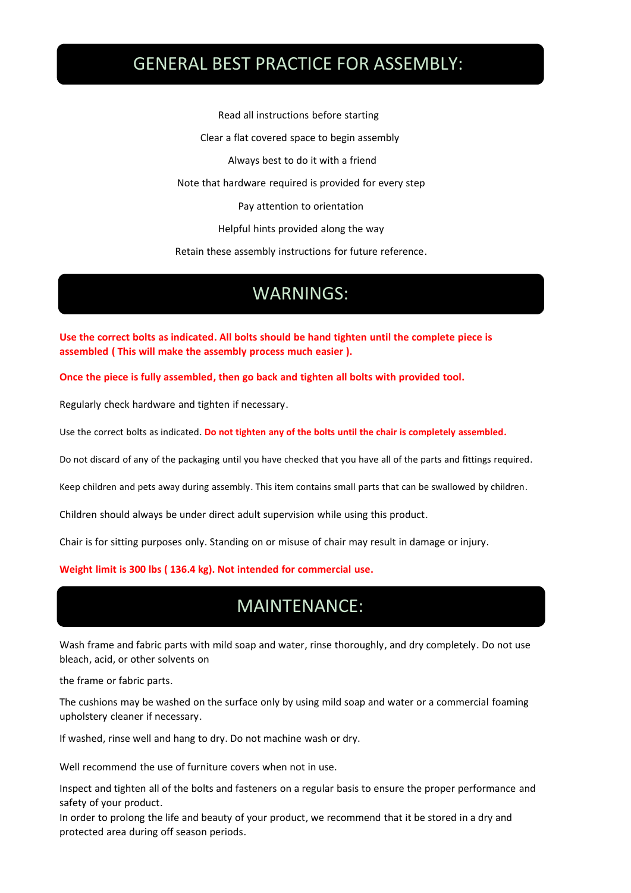#### GENERAL BEST PRACTICE FOR ASSEMBLY:

Read all instructions before starting Clear a flat covered space to begin assembly Always best to do it with a friend Note that hardware required is provided for every step Pay attention to orientation Helpful hints provided along the way Retain these assembly instructions for future reference.

### **WARNINGS:** WARNINGS:

**Use the correct bolts as indicated. All bolts should be hand tighten until the complete piece is assembled ( This will make the assembly process much easier ).**

**Once the piece is fully assembled, then go back and tighten all bolts with provided tool.**

Regularly check hardware and tighten if necessary.

Use the correct bolts as indicated. **Do not tighten any of the bolts until the chair is completely assembled.**

Do not discard of any of the packaging until you have checked that you have all of the parts and fittings required.

Keep children and pets away during assembly. This item contains small parts that can be swallowed by children.

Children should always be under direct adult supervision while using this product.

Chair is for sitting purposes only. Standing on or misuse of chair may result in damage or injury.

**Weight limit is 300 lbs ( 136.4 kg).Not intended for commercial use.**

#### MAINTENANCE:

Wash frame and fabric parts with mild soap and water, rinse thoroughly, and dry completely. Do not use bleach, acid, or other solvents on

the frame or fabric parts.

The cushions may be washed on the surface only by using mild soap and water or a commercial foaming upholstery cleaner if necessary.

If washed, rinse well and hang to dry. Do not machine wash or dry.

Well recommend the use of furniture covers when not in use.

Inspect and tighten all of the bolts and fasteners on a regular basis to ensure the proper performance and safety of your product.

In order to prolong the life and beauty of your product, we recommend that it be stored in a dry and protected area during off season periods.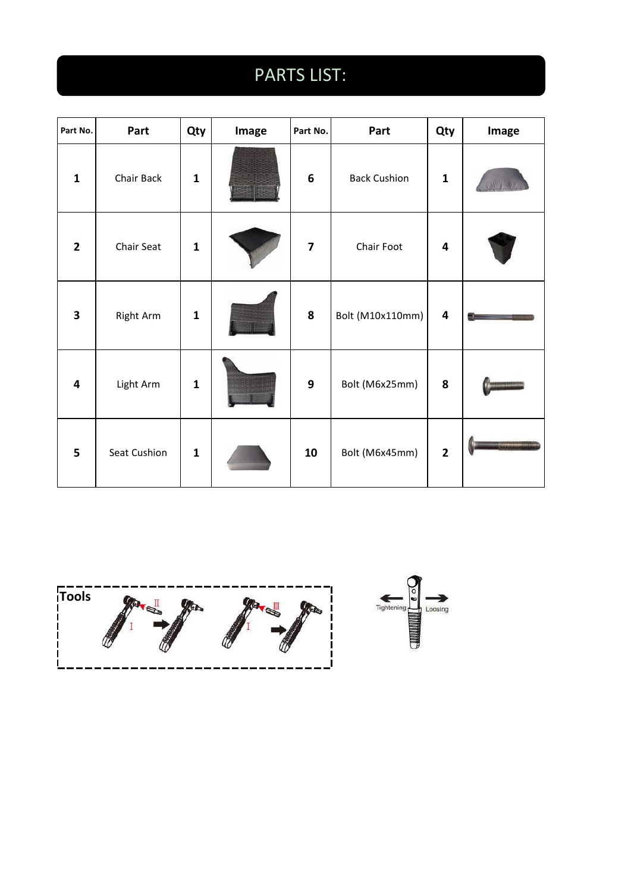# PARTS LIST:

| Part No.                | Part             | Qty          | Image | Part No.                | Part                | Qty                     | Image |
|-------------------------|------------------|--------------|-------|-------------------------|---------------------|-------------------------|-------|
| $\mathbf{1}$            | Chair Back       | $\mathbf 1$  |       | $\boldsymbol{6}$        | <b>Back Cushion</b> | $\mathbf{1}$            |       |
| $\mathbf{2}$            | Chair Seat       | $\mathbf 1$  |       | $\overline{\mathbf{z}}$ | Chair Foot          | $\overline{\mathbf{4}}$ |       |
| $\overline{\mathbf{3}}$ | <b>Right Arm</b> | $\mathbf{1}$ |       | $\boldsymbol{8}$        | Bolt (M10x110mm)    | $\overline{\mathbf{4}}$ |       |
| $\overline{\mathbf{4}}$ | Light Arm        | $\mathbf{1}$ |       | $\mathbf{9}$            | Bolt (M6x25mm)      | $\pmb{8}$               |       |
| 5                       | Seat Cushion     | $\mathbf{1}$ |       | 10                      | Bolt (M6x45mm)      | $\overline{\mathbf{2}}$ |       |

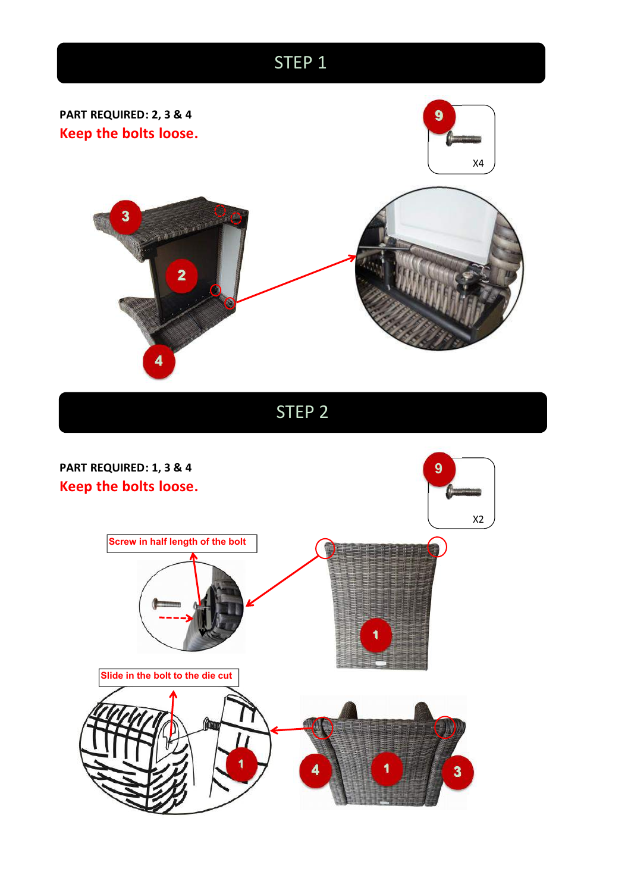

STEP 2

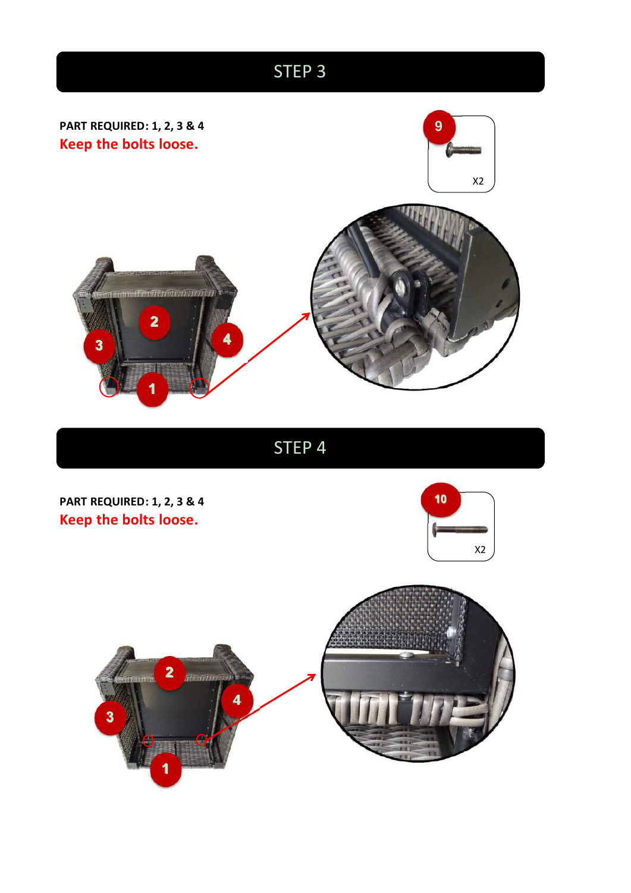